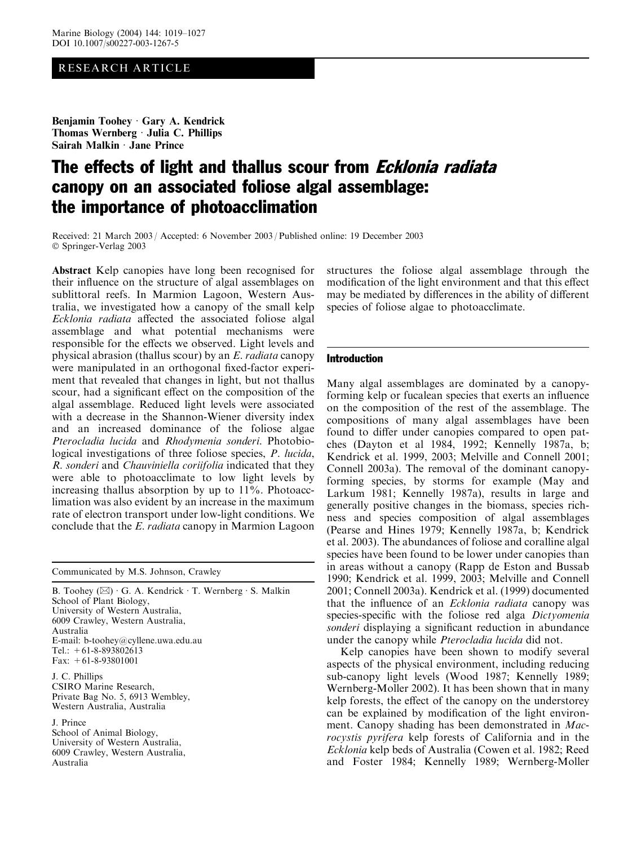# RESEARCH ARTICLE

Benjamin Toohey Gary A. Kendrick Thomas Wernberg · Julia C. Phillips Sairah Malkin  $\cdot$  Jane Prince

# The effects of light and thallus scour from *Ecklonia radiata* canopy on an associated foliose algal assemblage: the importance of photoacclimation

Received: 21 March 2003 / Accepted: 6 November 2003 / Published online: 19 December 2003 Springer-Verlag 2003

Abstract Kelp canopies have long been recognised for their influence on the structure of algal assemblages on sublittoral reefs. In Marmion Lagoon, Western Australia, we investigated how a canopy of the small kelp Ecklonia radiata affected the associated foliose algal assemblage and what potential mechanisms were responsible for the effects we observed. Light levels and physical abrasion (thallus scour) by an E. radiata canopy were manipulated in an orthogonal fixed-factor experiment that revealed that changes in light, but not thallus scour, had a significant effect on the composition of the algal assemblage. Reduced light levels were associated with a decrease in the Shannon-Wiener diversity index and an increased dominance of the foliose algae Pterocladia lucida and Rhodymenia sonderi. Photobiological investigations of three foliose species, P. lucida, R. sonderi and Chauviniella coriifolia indicated that they were able to photoacclimate to low light levels by increasing thallus absorption by up to 11%. Photoacclimation was also evident by an increase in the maximum rate of electron transport under low-light conditions. We conclude that the E. radiata canopy in Marmion Lagoon

Communicated by M.S. Johnson, Crawley

B. Toohey  $(\boxtimes) \cdot G$ . A. Kendrick  $\cdot T$ . Wernberg  $\cdot S$ . Malkin School of Plant Biology, University of Western Australia, 6009 Crawley, Western Australia, Australia E-mail: b-toohey@cyllene.uwa.edu.au Tel.:  $+61-8-893802613$ Fax: +61-8-93801001 J. C. Phillips CSIRO Marine Research,

Private Bag No. 5, 6913 Wembley, Western Australia, Australia

J. Prince School of Animal Biology, University of Western Australia, 6009 Crawley, Western Australia, Australia

structures the foliose algal assemblage through the modification of the light environment and that this effect may be mediated by differences in the ability of different species of foliose algae to photoacclimate.

# **Introduction**

Many algal assemblages are dominated by a canopyforming kelp or fucalean species that exerts an influence on the composition of the rest of the assemblage. The compositions of many algal assemblages have been found to differ under canopies compared to open patches (Dayton et al 1984, 1992; Kennelly 1987a, b; Kendrick et al. 1999, 2003; Melville and Connell 2001; Connell 2003a). The removal of the dominant canopyforming species, by storms for example (May and Larkum 1981; Kennelly 1987a), results in large and generally positive changes in the biomass, species richness and species composition of algal assemblages (Pearse and Hines 1979; Kennelly 1987a, b; Kendrick et al. 2003). The abundances of foliose and coralline algal species have been found to be lower under canopies than in areas without a canopy (Rapp de Eston and Bussab 1990; Kendrick et al. 1999, 2003; Melville and Connell 2001; Connell 2003a). Kendrick et al. (1999) documented that the influence of an Ecklonia radiata canopy was species-specific with the foliose red alga Dictyomenia sonderi displaying a significant reduction in abundance under the canopy while Pterocladia lucida did not.

Kelp canopies have been shown to modify several aspects of the physical environment, including reducing sub-canopy light levels (Wood 1987; Kennelly 1989; Wernberg-Moller 2002). It has been shown that in many kelp forests, the effect of the canopy on the understorey can be explained by modification of the light environment. Canopy shading has been demonstrated in Macrocystis pyrifera kelp forests of California and in the Ecklonia kelp beds of Australia (Cowen et al. 1982; Reed and Foster 1984; Kennelly 1989; Wernberg-Moller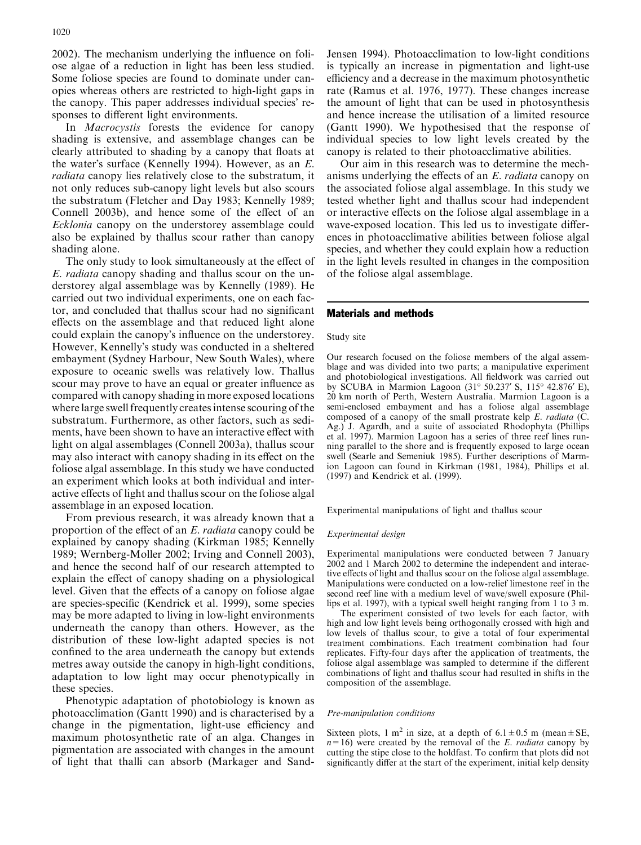2002). The mechanism underlying the influence on foliose algae of a reduction in light has been less studied. Some foliose species are found to dominate under canopies whereas others are restricted to high-light gaps in the canopy. This paper addresses individual species' responses to different light environments.

In Macrocystis forests the evidence for canopy shading is extensive, and assemblage changes can be clearly attributed to shading by a canopy that floats at the water's surface (Kennelly 1994). However, as an  $E$ . radiata canopy lies relatively close to the substratum, it not only reduces sub-canopy light levels but also scours the substratum (Fletcher and Day 1983; Kennelly 1989; Connell 2003b), and hence some of the effect of an Ecklonia canopy on the understorey assemblage could also be explained by thallus scour rather than canopy shading alone.

The only study to look simultaneously at the effect of E. radiata canopy shading and thallus scour on the understorey algal assemblage was by Kennelly (1989). He carried out two individual experiments, one on each factor, and concluded that thallus scour had no significant effects on the assemblage and that reduced light alone could explain the canopy's influence on the understorey. However, Kennelly's study was conducted in a sheltered embayment (Sydney Harbour, New South Wales), where exposure to oceanic swells was relatively low. Thallus scour may prove to have an equal or greater influence as compared with canopy shading in more exposed locations where large swell frequently creates intense scouring of the substratum. Furthermore, as other factors, such as sediments, have been shown to have an interactive effect with light on algal assemblages (Connell 2003a), thallus scour may also interact with canopy shading in its effect on the foliose algal assemblage. In this study we have conducted an experiment which looks at both individual and interactive effects of light and thallus scour on the foliose algal assemblage in an exposed location.

From previous research, it was already known that a proportion of the effect of an E. radiata canopy could be explained by canopy shading (Kirkman 1985; Kennelly 1989; Wernberg-Moller 2002; Irving and Connell 2003), and hence the second half of our research attempted to explain the effect of canopy shading on a physiological level. Given that the effects of a canopy on foliose algae are species-specific (Kendrick et al. 1999), some species may be more adapted to living in low-light environments underneath the canopy than others. However, as the distribution of these low-light adapted species is not confined to the area underneath the canopy but extends metres away outside the canopy in high-light conditions, adaptation to low light may occur phenotypically in these species.

Phenotypic adaptation of photobiology is known as photoacclimation (Gantt 1990) and is characterised by a change in the pigmentation, light-use efficiency and maximum photosynthetic rate of an alga. Changes in pigmentation are associated with changes in the amount of light that thalli can absorb (Markager and SandJensen 1994). Photoacclimation to low-light conditions is typically an increase in pigmentation and light-use efficiency and a decrease in the maximum photosynthetic rate (Ramus et al. 1976, 1977). These changes increase the amount of light that can be used in photosynthesis and hence increase the utilisation of a limited resource (Gantt 1990). We hypothesised that the response of individual species to low light levels created by the canopy is related to their photoacclimative abilities.

Our aim in this research was to determine the mechanisms underlying the effects of an E. radiata canopy on the associated foliose algal assemblage. In this study we tested whether light and thallus scour had independent or interactive effects on the foliose algal assemblage in a wave-exposed location. This led us to investigate differences in photoacclimative abilities between foliose algal species, and whether they could explain how a reduction in the light levels resulted in changes in the composition of the foliose algal assemblage.

## Materials and methods

#### Study site

Our research focused on the foliose members of the algal assemblage and was divided into two parts; a manipulative experiment and photobiological investigations. All fieldwork was carried out by SCUBA in Marmion Lagoon (31° 50.237' S, 115° 42.876' E), 20 km north of Perth, Western Australia. Marmion Lagoon is a semi-enclosed embayment and has a foliose algal assemblage composed of a canopy of the small prostrate kelp  $E$ . *radiata* ( $C$ . Ag.) J. Agardh, and a suite of associated Rhodophyta (Phillips et al. 1997). Marmion Lagoon has a series of three reef lines running parallel to the shore and is frequently exposed to large ocean swell (Searle and Semeniuk 1985). Further descriptions of Marmion Lagoon can found in Kirkman (1981, 1984), Phillips et al. (1997) and Kendrick et al. (1999).

Experimental manipulations of light and thallus scour

#### Experimental design

Experimental manipulations were conducted between 7 January 2002 and 1 March 2002 to determine the independent and interactive effects of light and thallus scour on the foliose algal assemblage. Manipulations were conducted on a low-relief limestone reef in the second reef line with a medium level of wave/swell exposure (Phillips et al. 1997), with a typical swell height ranging from 1 to 3 m.

The experiment consisted of two levels for each factor, with high and low light levels being orthogonally crossed with high and low levels of thallus scour, to give a total of four experimental treatment combinations. Each treatment combination had four replicates. Fifty-four days after the application of treatments, the foliose algal assemblage was sampled to determine if the different combinations of light and thallus scour had resulted in shifts in the composition of the assemblage.

#### Pre-manipulation conditions

Sixteen plots, 1 m<sup>2</sup> in size, at a depth of 6.1 $\pm$ 0.5 m (mean $\pm$ SE,  $n=16$ ) were created by the removal of the E. *radiata* canopy by cutting the stipe close to the holdfast. To confirm that plots did not significantly differ at the start of the experiment, initial kelp density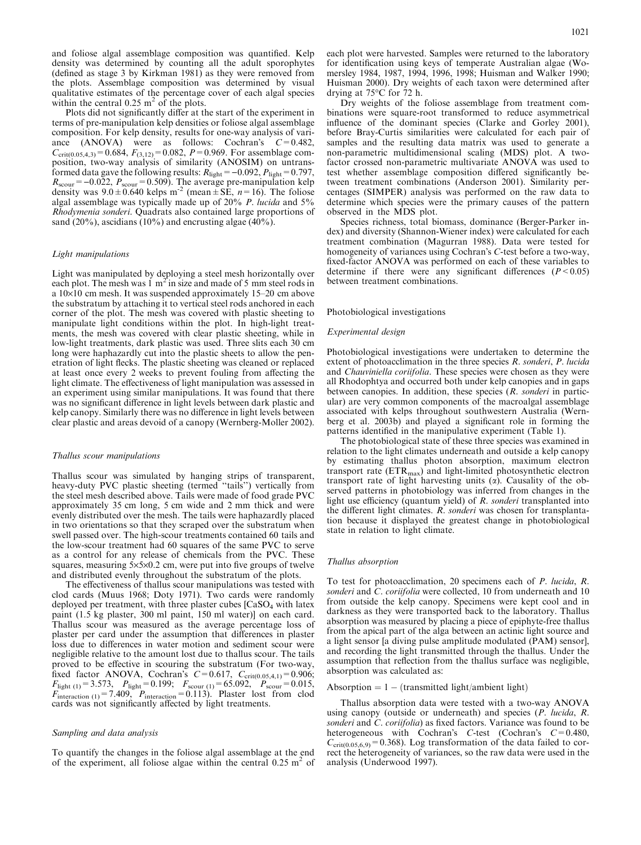and foliose algal assemblage composition was quantified. Kelp density was determined by counting all the adult sporophytes (defined as stage 3 by Kirkman 1981) as they were removed from the plots. Assemblage composition was determined by visual qualitative estimates of the percentage cover of each algal species within the central  $0.25 \text{ m}^2$  of the plots.

Plots did not significantly differ at the start of the experiment in terms of pre-manipulation kelp densities or foliose algal assemblage composition. For kelp density, results for one-way analysis of variance (ANOVA) were as follows: Cochran's  $C=0.482$ ,  $C_{\text{crit}(0.05,4,3)}=0.684, F_{(3,12)}=0.082, P=0.969.$  For assemblage composition, two-way analysis of similarity (ANOSIM) on untransformed data gave the following results:  $R_{\text{light}} = -0.092$ ,  $P_{\text{light}} = 0.797$ ,  $R_{\text{s}\text{corr}}$  = -0.022,  $P_{\text{s}\text{corr}}$  = 0.509). The average pre-manipulation kelp density was  $9.0 \pm 0.640$  kelps m<sup>-2</sup> (mean  $\pm$  SE, n=16). The foliose algal assemblage was typically made up of 20% P. lucida and 5% Rhodymenia sonderi. Quadrats also contained large proportions of sand (20%), ascidians (10%) and encrusting algae (40%).

#### Light manipulations

Light was manipulated by deploying a steel mesh horizontally over each plot. The mesh was  $1 \text{ m}^2$  in size and made of 5 mm steel rods in a  $10\times10$  cm mesh. It was suspended approximately 15–20 cm above the substratum by attaching it to vertical steel rods anchored in each corner of the plot. The mesh was covered with plastic sheeting to manipulate light conditions within the plot. In high-light treatments, the mesh was covered with clear plastic sheeting, while in low-light treatments, dark plastic was used. Three slits each 30 cm long were haphazardly cut into the plastic sheets to allow the penetration of light flecks. The plastic sheeting was cleaned or replaced at least once every 2 weeks to prevent fouling from affecting the light climate. The effectiveness of light manipulation was assessed in an experiment using similar manipulations. It was found that there was no significant difference in light levels between dark plastic and kelp canopy. Similarly there was no difference in light levels between clear plastic and areas devoid of a canopy (Wernberg-Moller 2002).

#### Thallus scour manipulations

Thallus scour was simulated by hanging strips of transparent, heavy-duty PVC plastic sheeting (termed ''tails'') vertically from the steel mesh described above. Tails were made of food grade PVC approximately 35 cm long, 5 cm wide and 2 mm thick and were evenly distributed over the mesh. The tails were haphazardly placed in two orientations so that they scraped over the substratum when swell passed over. The high-scour treatments contained 60 tails and the low-scour treatment had 60 squares of the same PVC to serve as a control for any release of chemicals from the PVC. These squares, measuring  $5\times5\times0.2$  cm, were put into five groups of twelve and distributed evenly throughout the substratum of the plots.

The effectiveness of thallus scour manipulations was tested with clod cards (Muus 1968; Doty 1971). Two cards were randomly deployed per treatment, with three plaster cubes  $[CaSO<sub>4</sub>$  with latex paint (1.5 kg plaster, 300 ml paint, 150 ml water)] on each card. Thallus scour was measured as the average percentage loss of plaster per card under the assumption that differences in plaster loss due to differences in water motion and sediment scour were negligible relative to the amount lost due to thallus scour. The tails proved to be effective in scouring the substratum (For two-way, fixed factor ANOVA, Cochran's  $C=0.617$ ,  $C_{\text{crit}(0.05,4,1)}=0.906$ ;  $F_{\text{light (1)}}=3.573, \quad P_{\text{light}}=0.199; \quad F_{\text{scourt (1)}}=65.092, \quad P_{\text{scourt}}=0.015,$  $F_{\text{interaction (1)}}$ =7.409,  $P_{\text{interaction}}$ =0.113). Plaster lost from clod cards was not significantly affected by light treatments.

#### Sampling and data analysis

To quantify the changes in the foliose algal assemblage at the end of the experiment, all foliose algae within the central  $0.25 \text{ m}^2$  of each plot were harvested. Samples were returned to the laboratory for identification using keys of temperate Australian algae (Womersley 1984, 1987, 1994, 1996, 1998; Huisman and Walker 1990; Huisman 2000). Dry weights of each taxon were determined after drying at  $75^{\circ}$ C for 72 h.

Dry weights of the foliose assemblage from treatment combinations were square-root transformed to reduce asymmetrical influence of the dominant species (Clarke and Gorley 2001), before Bray-Curtis similarities were calculated for each pair of samples and the resulting data matrix was used to generate a non-parametric multidimensional scaling (MDS) plot. A twofactor crossed non-parametric multivariate ANOVA was used to test whether assemblage composition differed significantly between treatment combinations (Anderson 2001). Similarity percentages (SIMPER) analysis was performed on the raw data to determine which species were the primary causes of the pattern observed in the MDS plot.

Species richness, total biomass, dominance (Berger-Parker index) and diversity (Shannon-Wiener index) were calculated for each treatment combination (Magurran 1988). Data were tested for homogeneity of variances using Cochran's C-test before a two-way, fixed-factor ANOVA was performed on each of these variables to determine if there were any significant differences  $(P < 0.05)$ between treatment combinations.

#### Photobiological investigations

## Experimental design

Photobiological investigations were undertaken to determine the extent of photoacclimation in the three species R. sonderi, P. lucida and Chauviniella coriifolia. These species were chosen as they were all Rhodophtya and occurred both under kelp canopies and in gaps between canopies. In addition, these species (R. sonderi in particular) are very common components of the macroalgal assemblage associated with kelps throughout southwestern Australia (Wernberg et al. 2003b) and played a significant role in forming the patterns identified in the manipulative experiment (Table 1).

The photobiological state of these three species was examined in relation to the light climates underneath and outside a kelp canopy by estimating thallus photon absorption, maximum electron transport rate (ETR<sub>max</sub>) and light-limited photosynthetic electron transport rate of light harvesting units  $(\alpha)$ . Causality of the observed patterns in photobiology was inferred from changes in the light use efficiency (quantum yield) of R. sonderi transplanted into the different light climates. R. sonderi was chosen for transplantation because it displayed the greatest change in photobiological state in relation to light climate.

#### Thallus absorption

To test for photoacclimation, 20 specimens each of P. lucida, R. sonderi and C. coriifolia were collected, 10 from underneath and 10 from outside the kelp canopy. Specimens were kept cool and in darkness as they were transported back to the laboratory. Thallus absorption was measured by placing a piece of epiphyte-free thallus from the apical part of the alga between an actinic light source and a light sensor [a diving pulse amplitude modulated (PAM) sensor], and recording the light transmitted through the thallus. Under the assumption that reflection from the thallus surface was negligible, absorption was calculated as:

#### Absorption  $= 1 -$  (transmitted light/ambient light)

Thallus absorption data were tested with a two-way ANOVA using canopy (outside or underneath) and species  $(P \cdot \text{lucida}, R \cdot \text{m}$ sonderi and C. coriifolia) as fixed factors. Variance was found to be heterogeneous with Cochran's C-test (Cochran's  $C=0.480$ ,  $C_{\text{crit}(0.05,6,9)}$ =0.368). Log transformation of the data failed to correct the heterogeneity of variances, so the raw data were used in the analysis (Underwood 1997).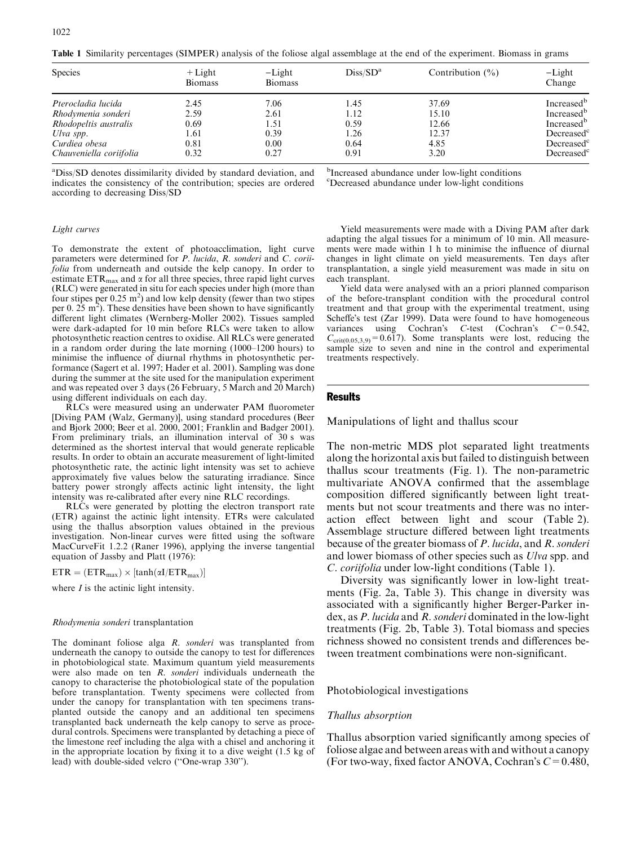Table 1 Similarity percentages (SIMPER) analysis of the foliose algal assemblage at the end of the experiment. Biomass in grams

| <b>Species</b>          | $+$ Light<br><b>Biomass</b> | $-Light$<br><b>Biomass</b> | Diss/SD <sup>a</sup> | Contribution $(\% )$ | $-Light$<br>Change     |
|-------------------------|-----------------------------|----------------------------|----------------------|----------------------|------------------------|
| Pterocladia lucida      | 2.45                        | 7.06                       | 1.45                 | 37.69                | Increased <sup>b</sup> |
| Rhodymenia sonderi      | 2.59                        | 2.61                       | 1.12                 | 15.10                | Increased <sup>b</sup> |
| Rhodopeltis australis   | 0.69                        | 1.51                       | 0.59                 | 12.66                | Increased <sup>b</sup> |
| Ulva spp.               | l.61                        | 0.39                       | 1.26                 | 12.37                | Decreased              |
| Curdiea obesa           | 0.81                        | 0.00                       | 0.64                 | 4.85                 | Decreased              |
| Chauveniella coriifolia | 0.32                        | 0.27                       | 0.91                 | 3.20                 | Decreased <sup>c</sup> |

aDiss/SD denotes dissimilarity divided by standard deviation, and indicates the consistency of the contribution; species are ordered according to decreasing Diss/SD

#### Light curves

To demonstrate the extent of photoacclimation, light curve parameters were determined for P. lucida, R. sonderi and C. coriifolia from underneath and outside the kelp canopy. In order to estimate  $ETR<sub>max</sub>$  and  $\alpha$  for all three species, three rapid light curves (RLC) were generated in situ for each species under high (more than four stipes per  $0.25 \text{ m}^2$ ) and low kelp density (fewer than two stipes per 0.  $25 \text{ m}^2$ ). These densities have been shown to have significantly different light climates (Wernberg-Moller 2002). Tissues sampled were dark-adapted for 10 min before RLCs were taken to allow photosynthetic reaction centres to oxidise. All RLCs were generated in a random order during the late morning (1000–1200 hours) to minimise the influence of diurnal rhythms in photosynthetic performance (Sagert et al. 1997; Hader et al. 2001). Sampling was done during the summer at the site used for the manipulation experiment and was repeated over 3 days (26 February, 5 March and 20 March) using different individuals on each day.

RLCs were measured using an underwater PAM fluorometer [Diving PAM (Walz, Germany)], using standard procedures (Beer and Bjork 2000; Beer et al. 2000, 2001; Franklin and Badger 2001). From preliminary trials, an illumination interval of 30 s was determined as the shortest interval that would generate replicable results. In order to obtain an accurate measurement of light-limited photosynthetic rate, the actinic light intensity was set to achieve approximately five values below the saturating irradiance. Since battery power strongly affects actinic light intensity, the light intensity was re-calibrated after every nine RLC recordings.

RLCs were generated by plotting the electron transport rate (ETR) against the actinic light intensity. ETRs were calculated using the thallus absorption values obtained in the previous investigation. Non-linear curves were fitted using the software MacCurveFit 1.2.2 (Raner 1996), applying the inverse tangential equation of Jassby and Platt (1976):

 $\text{ETR} = (\text{ETR}_{\text{max}}) \times [\tanh(\alpha I / \text{ETR}_{\text{max}})]$ 

where  $I$  is the actinic light intensity.

#### Rhodymenia sonderi transplantation

The dominant foliose alga R. sonderi was transplanted from underneath the canopy to outside the canopy to test for differences in photobiological state. Maximum quantum yield measurements were also made on ten R. sonderi individuals underneath the canopy to characterise the photobiological state of the population before transplantation. Twenty specimens were collected from under the canopy for transplantation with ten specimens transplanted outside the canopy and an additional ten specimens transplanted back underneath the kelp canopy to serve as procedural controls. Specimens were transplanted by detaching a piece of the limestone reef including the alga with a chisel and anchoring it in the appropriate location by fixing it to a dive weight (1.5 kg of lead) with double-sided velcro (''One-wrap 330'').

b Increased abundance under low-light conditions c Decreased abundance under low-light conditions

Yield measurements were made with a Diving PAM after dark adapting the algal tissues for a minimum of 10 min. All measurements were made within 1 h to minimise the influence of diurnal changes in light climate on yield measurements. Ten days after transplantation, a single yield measurement was made in situ on each transplant.

Yield data were analysed with an a priori planned comparison of the before-transplant condition with the procedural control treatment and that group with the experimental treatment, using Scheffe's test  $(Zar 1999)$ . Data were found to have homogeneous variances using Cochran's C-test (Cochran's  $C=0.542$ ,  $C_{\text{crit}(0.05,3,9)} = 0.617$ . Some transplants were lost, reducing the sample size to seven and nine in the control and experimental treatments respectively.

## Results

Manipulations of light and thallus scour

The non-metric MDS plot separated light treatments along the horizontal axis but failed to distinguish between thallus scour treatments (Fig. 1). The non-parametric multivariate ANOVA confirmed that the assemblage composition differed significantly between light treatments but not scour treatments and there was no interaction effect between light and scour (Table 2). Assemblage structure differed between light treatments because of the greater biomass of P. lucida, and R. sonderi and lower biomass of other species such as *Ulva* spp. and C. coriifolia under low-light conditions (Table 1).

Diversity was significantly lower in low-light treatments (Fig. 2a, Table 3). This change in diversity was associated with a significantly higher Berger-Parker index, as P. lucida and R. sonderi dominated in the low-light treatments (Fig. 2b, Table 3). Total biomass and species richness showed no consistent trends and differences between treatment combinations were non-significant.

## Photobiological investigations

## Thallus absorption

Thallus absorption varied significantly among species of foliose algae and between areas with and without a canopy (For two-way, fixed factor ANOVA, Cochran's  $C = 0.480$ ,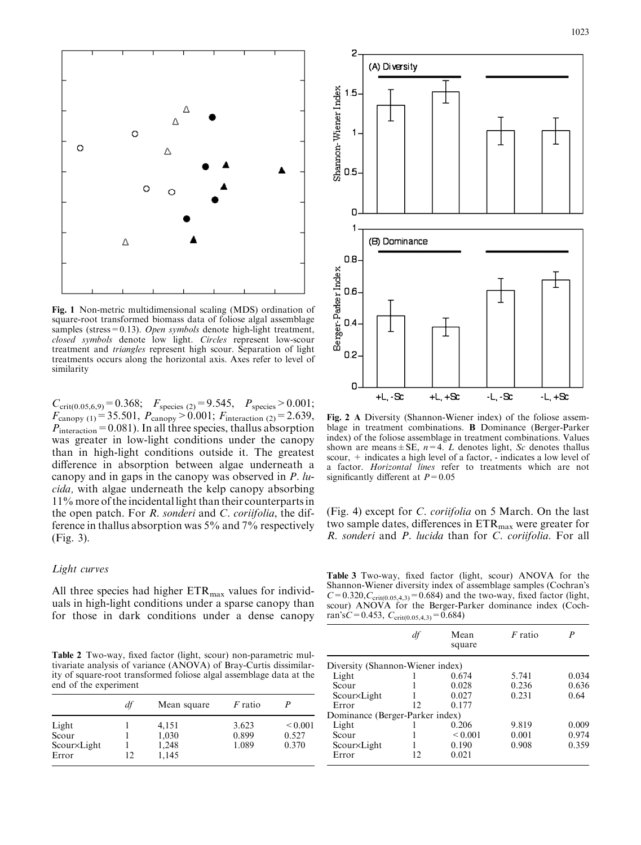Λ  $\circ$  $\circ$ Δ  $\circ$  $\circ$ Δ Fig. 1 Non-metric multidimensional scaling (MDS) ordination of

square-root transformed biomass data of foliose algal assemblage samples (stress=0.13). Open symbols denote high-light treatment, closed symbols denote low light. Circles represent low-scour treatment and triangles represent high scour. Separation of light treatments occurs along the horizontal axis. Axes refer to level of similarity

 $C_{\text{crit}(0.05,6,9)}=0.368; \quad F_{\text{species (2)}}=9.545, \quad P_{\text{species}} > 0.001;$  $F_{\text{canopy (1)}} = 35.501, P_{\text{canopy}} > 0.001; F_{\text{interaction (2)}} = 2.639,$  $P_{\text{interaction}}$  = 0.081). In all three species, thallus absorption was greater in low-light conditions under the canopy than in high-light conditions outside it. The greatest difference in absorption between algae underneath a canopy and in gaps in the canopy was observed in P. lucida, with algae underneath the kelp canopy absorbing 11% more of the incidental light than their counterparts in the open patch. For R. sonderi and C. coriifolia, the difference in thallus absorption was 5% and 7% respectively (Fig. 3).

# Light curves

All three species had higher  $ETR<sub>max</sub>$  values for individuals in high-light conditions under a sparse canopy than for those in dark conditions under a dense canopy

Table 2 Two-way, fixed factor (light, scour) non-parametric multivariate analysis of variance (ANOVA) of Bray-Curtis dissimilarity of square-root transformed foliose algal assemblage data at the end of the experiment

|             | df | Mean square | <i>F</i> ratio |              |
|-------------|----|-------------|----------------|--------------|
| Light       |    | 4,151       | 3.623          | ${}_{0.001}$ |
| Scour       |    | 1,030       | 0.899          | 0.527        |
| Scour×Light |    | 1,248       | 1.089          | 0.370        |
| Error       | 12 | 1,145       |                |              |



2

blage in treatment combinations. B Dominance (Berger-Parker index) of the foliose assemblage in treatment combinations. Values shown are means  $\pm$  SE,  $n=4$ . *L* denotes light, *Sc* denotes thallus scour, + indicates a high level of a factor, - indicates a low level of a factor. Horizontal lines refer to treatments which are not significantly different at  $P=0.05$ 

(Fig. 4) except for C. coriifolia on 5 March. On the last two sample dates, differences in  $ETR<sub>max</sub>$  were greater for R. sonderi and P. lucida than for C. coriifolia. For all

Table 3 Two-way, fixed factor (light, scour) ANOVA for the Shannon-Wiener diversity index of assemblage samples (Cochran's  $C=0.320$ ,  $C_{\text{crit}(0.05,4,3)}=0.684$ ) and the two-way, fixed factor (light, scour) ANOVA for the Berger-Parker dominance index (Cochran's $C=0.453$ ,  $C_{\text{crit}(0.05,4,3)}=0.684$ )

| df | Mean<br>square | $F$ ratio                                                           | P     |
|----|----------------|---------------------------------------------------------------------|-------|
|    |                |                                                                     |       |
|    | 0.674          | 5.741                                                               | 0.034 |
|    | 0.028          | 0.236                                                               | 0.636 |
|    | 0.027          | 0.231                                                               | 0.64  |
| 12 | 0.177          |                                                                     |       |
|    |                |                                                                     |       |
|    | 0.206          | 9.819                                                               | 0.009 |
|    | ${}_{0.001}$   | 0.001                                                               | 0.974 |
|    | 0.190          | 0.908                                                               | 0.359 |
| 12 | 0.021          |                                                                     |       |
|    |                | Diversity (Shannon-Wiener index)<br>Dominance (Berger-Parker index) |       |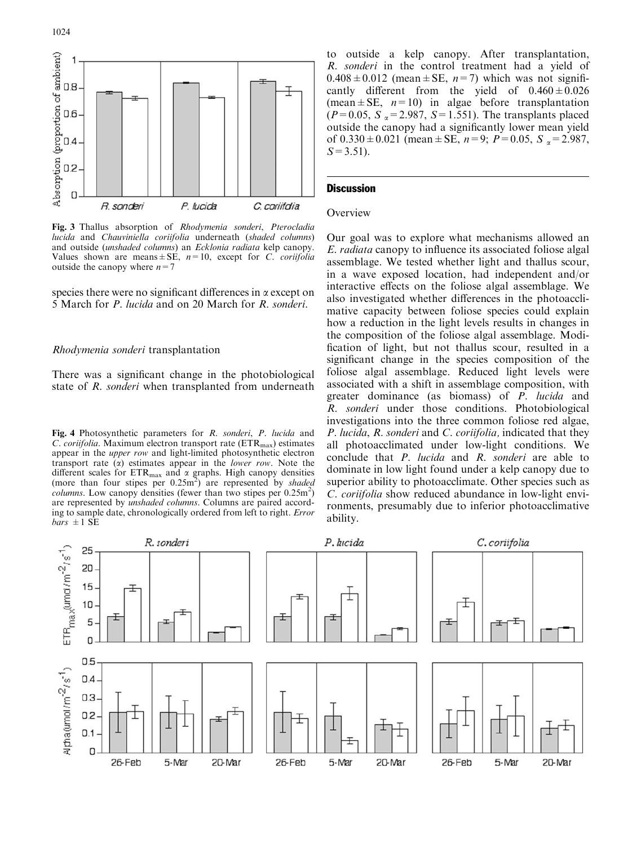

Fig. 3 Thallus absorption of Rhodymenia sonderi, Pterocladia lucida and Chauviniella coriifolia underneath (shaded columns) and outside (unshaded columns) an Ecklonia radiata kelp canopy. Values shown are means  $\pm$  SE,  $n=10$ , except for C. coriifolia outside the canopy where  $n=7$ 

species there were no significant differences in  $\alpha$  except on 5 March for P. lucida and on 20 March for R. sonderi.

## Rhodymenia sonderi transplantation

There was a significant change in the photobiological state of R. sonderi when transplanted from underneath

Fig. 4 Photosynthetic parameters for R. sonderi, P. lucida and C. coriifolia. Maximum electron transport rate  $(ETR<sub>max</sub>)$  estimates appear in the upper row and light-limited photosynthetic electron transport rate  $(\alpha)$  estimates appear in the *lower row*. Note the different scales for  $ETR_{max}$  and  $\alpha$  graphs. High canopy densities (more than four stipes per  $0.25 \text{m}^2$ ) are represented by shaded *columns*. Low canopy densities (fewer than two stipes per  $0.25$ m<sup>2</sup>) are represented by unshaded columns. Columns are paired according to sample date, chronologically ordered from left to right. Error  $bars \pm 1$  SE

to outside a kelp canopy. After transplantation, R. sonderi in the control treatment had a yield of  $0.408 \pm 0.012$  (mean  $\pm$  SE, n = 7) which was not significantly different from the yield of  $0.460 \pm 0.026$ (mean  $\pm$  SE,  $n=10$ ) in algae before transplantation  $(P=0.05, S_\alpha=2.987, S=1.551)$ . The transplants placed outside the canopy had a significantly lower mean yield of  $0.330 \pm 0.021$  (mean  $\pm$  SE,  $n=9$ ;  $P=0.05$ ,  $S_\alpha = 2.987$ ,  $S=3.51$ ).

# **Discussion**

#### **Overview**

Our goal was to explore what mechanisms allowed an E. radiata canopy to influence its associated foliose algal assemblage. We tested whether light and thallus scour, in a wave exposed location, had independent and/or interactive effects on the foliose algal assemblage. We also investigated whether differences in the photoacclimative capacity between foliose species could explain how a reduction in the light levels results in changes in the composition of the foliose algal assemblage. Modification of light, but not thallus scour, resulted in a significant change in the species composition of the foliose algal assemblage. Reduced light levels were associated with a shift in assemblage composition, with greater dominance (as biomass) of P. lucida and R. sonderi under those conditions. Photobiological investigations into the three common foliose red algae, P. lucida, R. sonderi and C. coriifolia, indicated that they all photoacclimated under low-light conditions. We conclude that P. lucida and R. sonderi are able to dominate in low light found under a kelp canopy due to superior ability to photoacclimate. Other species such as C. coriifolia show reduced abundance in low-light environments, presumably due to inferior photoacclimative ability.

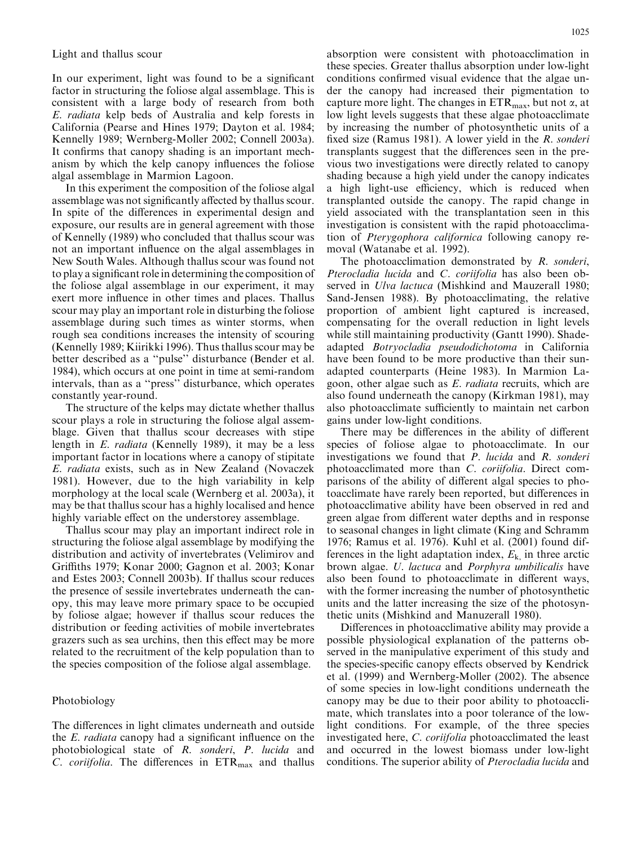In our experiment, light was found to be a significant factor in structuring the foliose algal assemblage. This is consistent with a large body of research from both E. radiata kelp beds of Australia and kelp forests in California (Pearse and Hines 1979; Dayton et al. 1984; Kennelly 1989; Wernberg-Moller 2002; Connell 2003a). It confirms that canopy shading is an important mechanism by which the kelp canopy influences the foliose algal assemblage in Marmion Lagoon.

In this experiment the composition of the foliose algal assemblage was not significantly affected by thallus scour. In spite of the differences in experimental design and exposure, our results are in general agreement with those of Kennelly (1989) who concluded that thallus scour was not an important influence on the algal assemblages in New South Wales. Although thallus scour was found not to play a significant role in determining the composition of the foliose algal assemblage in our experiment, it may exert more influence in other times and places. Thallus scour may play an important role in disturbing the foliose assemblage during such times as winter storms, when rough sea conditions increases the intensity of scouring (Kennelly 1989; Kiirikki 1996). Thus thallus scour may be better described as a ''pulse'' disturbance (Bender et al. 1984), which occurs at one point in time at semi-random intervals, than as a ''press'' disturbance, which operates constantly year-round.

The structure of the kelps may dictate whether thallus scour plays a role in structuring the foliose algal assemblage. Given that thallus scour decreases with stipe length in E. radiata (Kennelly 1989), it may be a less important factor in locations where a canopy of stipitate E. radiata exists, such as in New Zealand (Novaczek 1981). However, due to the high variability in kelp morphology at the local scale (Wernberg et al. 2003a), it may be that thallus scour has a highly localised and hence highly variable effect on the understorey assemblage.

Thallus scour may play an important indirect role in structuring the foliose algal assemblage by modifying the distribution and activity of invertebrates (Velimirov and Griffiths 1979; Konar 2000; Gagnon et al. 2003; Konar and Estes 2003; Connell 2003b). If thallus scour reduces the presence of sessile invertebrates underneath the canopy, this may leave more primary space to be occupied by foliose algae; however if thallus scour reduces the distribution or feeding activities of mobile invertebrates grazers such as sea urchins, then this effect may be more related to the recruitment of the kelp population than to the species composition of the foliose algal assemblage.

## Photobiology

The differences in light climates underneath and outside the E. radiata canopy had a significant influence on the photobiological state of R. sonderi, P. lucida and C. coriifolia. The differences in  $ETR<sub>max</sub>$  and thallus

absorption were consistent with photoacclimation in these species. Greater thallus absorption under low-light conditions confirmed visual evidence that the algae under the canopy had increased their pigmentation to capture more light. The changes in  $ETR<sub>max</sub>$ , but not  $\alpha$ , at low light levels suggests that these algae photoacclimate by increasing the number of photosynthetic units of a fixed size (Ramus 1981). A lower yield in the *R. sonderi* transplants suggest that the differences seen in the previous two investigations were directly related to canopy shading because a high yield under the canopy indicates a high light-use efficiency, which is reduced when transplanted outside the canopy. The rapid change in yield associated with the transplantation seen in this investigation is consistent with the rapid photoacclimation of Pterygophora californica following canopy removal (Watanabe et al. 1992).

The photoacclimation demonstrated by R. sonderi, Pterocladia lucida and C. coriifolia has also been observed in *Ulva lactuca* (Mishkind and Mauzerall 1980; Sand-Jensen 1988). By photoacclimating, the relative proportion of ambient light captured is increased, compensating for the overall reduction in light levels while still maintaining productivity (Gantt 1990). Shadeadapted Botryocladia pseudodichotoma in California have been found to be more productive than their sunadapted counterparts (Heine 1983). In Marmion Lagoon, other algae such as E. radiata recruits, which are also found underneath the canopy (Kirkman 1981), may also photoacclimate sufficiently to maintain net carbon gains under low-light conditions.

There may be differences in the ability of different species of foliose algae to photoacclimate. In our investigations we found that P. lucida and R. sonderi photoacclimated more than C. coriifolia. Direct comparisons of the ability of different algal species to photoacclimate have rarely been reported, but differences in photoacclimative ability have been observed in red and green algae from different water depths and in response to seasonal changes in light climate (King and Schramm 1976; Ramus et al. 1976). Kuhl et al. (2001) found differences in the light adaptation index,  $E_{k}$ , in three arctic brown algae. U. lactuca and Porphyra umbilicalis have also been found to photoacclimate in different ways, with the former increasing the number of photosynthetic units and the latter increasing the size of the photosynthetic units (Mishkind and Manuzerall 1980).

Differences in photoacclimative ability may provide a possible physiological explanation of the patterns observed in the manipulative experiment of this study and the species-specific canopy effects observed by Kendrick et al. (1999) and Wernberg-Moller (2002). The absence of some species in low-light conditions underneath the canopy may be due to their poor ability to photoacclimate, which translates into a poor tolerance of the lowlight conditions. For example, of the three species investigated here, C. coriifolia photoacclimated the least and occurred in the lowest biomass under low-light conditions. The superior ability of Pterocladia lucida and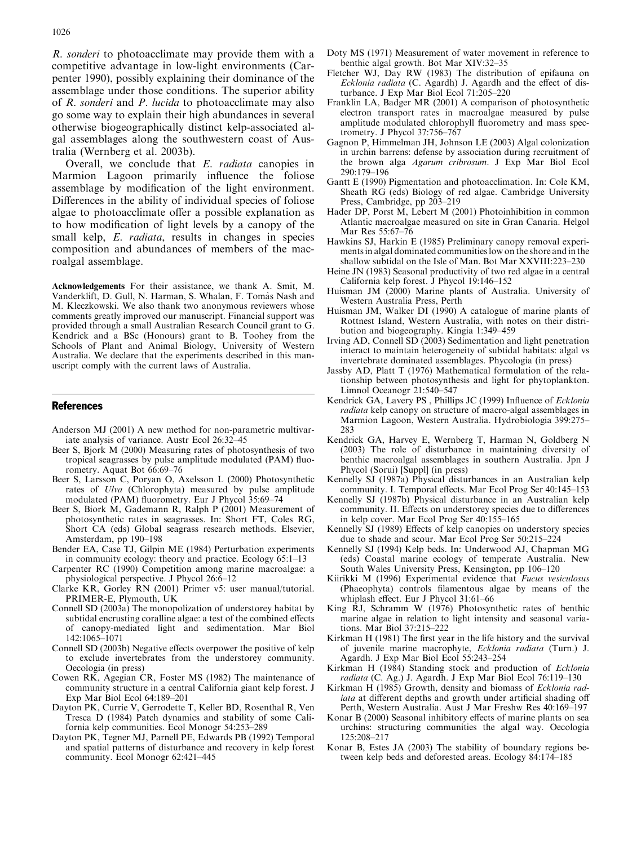R. sonderi to photoacclimate may provide them with a competitive advantage in low-light environments (Carpenter 1990), possibly explaining their dominance of the assemblage under those conditions. The superior ability of R. sonderi and P. lucida to photoacclimate may also go some way to explain their high abundances in several otherwise biogeographically distinct kelp-associated algal assemblages along the southwestern coast of Australia (Wernberg et al. 2003b).

Overall, we conclude that E. radiata canopies in Marmion Lagoon primarily influence the foliose assemblage by modification of the light environment. Differences in the ability of individual species of foliose algae to photoacclimate offer a possible explanation as to how modification of light levels by a canopy of the small kelp, *E. radiata*, results in changes in species composition and abundances of members of the macroalgal assemblage.

Acknowledgements For their assistance, we thank A. Smit, M. Vanderklift, D. Gull, N. Harman, S. Whalan, F. Tomàs Nash and M. Kleczkowski. We also thank two anonymous reviewers whose comments greatly improved our manuscript. Financial support was provided through a small Australian Research Council grant to G. Kendrick and a BSc (Honours) grant to B. Toohey from the Schools of Plant and Animal Biology, University of Western Australia. We declare that the experiments described in this manuscript comply with the current laws of Australia.

## References

- Anderson MJ (2001) A new method for non-parametric multivariate analysis of variance. Austr Ecol 26:32–45
- Beer S, Bjork M (2000) Measuring rates of photosynthesis of two tropical seagrasses by pulse amplitude modulated (PAM) fluorometry. Aquat Bot 66:69–76
- Beer S, Larsson C, Poryan O, Axelsson L (2000) Photosynthetic rates of Ulva (Chlorophyta) measured by pulse amplitude modulated (PAM) fluorometry. Eur J Phycol 35:69–74
- Beer S, Biork M, Gademann R, Ralph P (2001) Measurement of photosynthetic rates in seagrasses. In: Short FT, Coles RG, Short CA (eds) Global seagrass research methods. Elsevier, Amsterdam, pp 190–198
- Bender EA, Case TJ, Gilpin ME (1984) Perturbation experiments in community ecology: theory and practice. Ecology 65:1–13
- Carpenter RC (1990) Competition among marine macroalgae: a physiological perspective. J Phycol 26:6–12
- Clarke KR, Gorley RN (2001) Primer v5: user manual/tutorial. PRIMER-E, Plymouth, UK
- Connell SD (2003a) The monopolization of understorey habitat by subtidal encrusting coralline algae: a test of the combined effects of canopy-mediated light and sedimentation. Mar Biol 142:1065–1071
- Connell SD (2003b) Negative effects overpower the positive of kelp to exclude invertebrates from the understorey community. Oecologia (in press)
- Cowen RK, Agegian CR, Foster MS (1982) The maintenance of community structure in a central California giant kelp forest. J Exp Mar Biol Ecol 64:189–201
- Dayton PK, Currie V, Gerrodette T, Keller BD, Rosenthal R, Ven Tresca D (1984) Patch dynamics and stability of some California kelp communities. Ecol Monogr 54:253–289
- Dayton PK, Tegner MJ, Parnell PE, Edwards PB (1992) Temporal and spatial patterns of disturbance and recovery in kelp forest community. Ecol Monogr 62:421–445
- Doty MS (1971) Measurement of water movement in reference to benthic algal growth. Bot Mar XIV:32–35
- Fletcher WJ, Day RW (1983) The distribution of epifauna on Ecklonia radiata (C. Agardh) J. Agardh and the effect of disturbance. J Exp Mar Biol Ecol 71:205–220
- Franklin LA, Badger MR (2001) A comparison of photosynthetic electron transport rates in macroalgae measured by pulse amplitude modulated chlorophyll fluorometry and mass spectrometry. J Phycol 37:756–767
- Gagnon P, Himmelman JH, Johnson LE (2003) Algal colonization in urchin barrens: defense by association during recruitment of the brown alga Agarum cribrosum. J Exp Mar Biol Ecol 290:179–196
- Gantt E (1990) Pigmentation and photoacclimation. In: Cole KM, Sheath RG (eds) Biology of red algae. Cambridge University Press, Cambridge, pp 203–219
- Hader DP, Porst M, Lebert M (2001) Photoinhibition in common Atlantic macroalgae measured on site in Gran Canaria. Helgol Mar Res 55:67–76
- Hawkins SJ, Harkin E (1985) Preliminary canopy removal experiments in algal dominated communities low on the shore and in the shallow subtidal on the Isle of Man. Bot Mar XXVIII:223–230
- Heine JN (1983) Seasonal productivity of two red algae in a central California kelp forest. J Phycol 19:146–152
- Huisman JM (2000) Marine plants of Australia. University of Western Australia Press, Perth
- Huisman JM, Walker DI (1990) A catalogue of marine plants of Rottnest Island, Western Australia, with notes on their distribution and biogeography. Kingia 1:349–459
- Irving AD, Connell SD (2003) Sedimentation and light penetration interact to maintain heterogeneity of subtidal habitats: algal vs invertebrate dominated assemblages. Phycologia (in press)
- Jassby AD, Platt T (1976) Mathematical formulation of the relationship between photosynthesis and light for phytoplankton. Limnol Oceanogr 21:540–547
- Kendrick GA, Lavery PS , Phillips JC (1999) Influence of Ecklonia radiata kelp canopy on structure of macro-algal assemblages in Marmion Lagoon, Western Australia. Hydrobiologia 399:275– 283
- Kendrick GA, Harvey E, Wernberg T, Harman N, Goldberg N (2003) The role of disturbance in maintaining diversity of benthic macroalgal assemblages in southern Australia. Jpn J Phycol (Sorui) [Suppl] (in press)
- Kennelly SJ (1987a) Physical disturbances in an Australian kelp community. I. Temporal effects. Mar Ecol Prog Ser 40:145–153
- Kennelly SJ (1987b) Physical disturbance in an Australian kelp community. II. Effects on understorey species due to differences in kelp cover. Mar Ecol Prog Ser 40:155–165
- Kennelly SJ (1989) Effects of kelp canopies on understory species due to shade and scour. Mar Ecol Prog Ser 50:215–224
- Kennelly SJ (1994) Kelp beds. In: Underwood AJ, Chapman MG (eds) Coastal marine ecology of temperate Australia. New South Wales University Press, Kensington, pp 106–120
- Kiirikki M (1996) Experimental evidence that Fucus vesiculosus (Phaeophyta) controls filamentous algae by means of the whiplash effect. Eur J Phycol 31:61–66
- King RJ, Schramm W (1976) Photosynthetic rates of benthic marine algae in relation to light intensity and seasonal variations. Mar Biol 37:215–222
- Kirkman H (1981) The first year in the life history and the survival of juvenile marine macrophyte, Ecklonia radiata (Turn.) J. Agardh. J Exp Mar Biol Ecol 55:243–254
- Kirkman H (1984) Standing stock and production of Ecklonia radiata (C. Ag.) J. Agardh. J Exp Mar Biol Ecol 76:119–130
- Kirkman H (1985) Growth, density and biomass of Ecklonia radiata at different depths and growth under artificial shading off Perth, Western Australia. Aust J Mar Freshw Res 40:169–197
- Konar B (2000) Seasonal inhibitory effects of marine plants on sea urchins: structuring communities the algal way. Oecologia 125:208–217
- Konar B, Estes JA (2003) The stability of boundary regions between kelp beds and deforested areas. Ecology 84:174–185